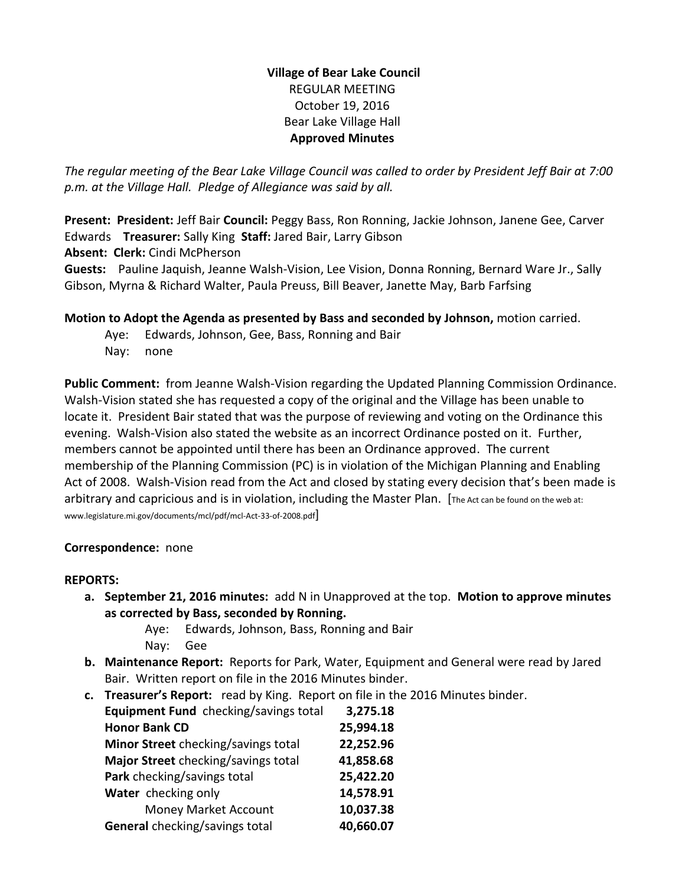## **Village of Bear Lake Council** REGULAR MEETING October 19, 2016 Bear Lake Village Hall **Approved Minutes**

*The regular meeting of the Bear Lake Village Council was called to order by President Jeff Bair at 7:00 p.m. at the Village Hall. Pledge of Allegiance was said by all.*

**Present: President:** Jeff Bair **Council:** Peggy Bass, Ron Ronning, Jackie Johnson, Janene Gee, Carver Edwards **Treasurer:** Sally King **Staff:** Jared Bair, Larry Gibson

**Absent: Clerk:** Cindi McPherson

**Guests:** Pauline Jaquish, Jeanne Walsh-Vision, Lee Vision, Donna Ronning, Bernard Ware Jr., Sally Gibson, Myrna & Richard Walter, Paula Preuss, Bill Beaver, Janette May, Barb Farfsing

**Motion to Adopt the Agenda as presented by Bass and seconded by Johnson,** motion carried.

Aye: Edwards, Johnson, Gee, Bass, Ronning and Bair Nay: none

**Public Comment:** from Jeanne Walsh-Vision regarding the Updated Planning Commission Ordinance. Walsh-Vision stated she has requested a copy of the original and the Village has been unable to locate it. President Bair stated that was the purpose of reviewing and voting on the Ordinance this evening. Walsh-Vision also stated the website as an incorrect Ordinance posted on it. Further, members cannot be appointed until there has been an Ordinance approved. The current membership of the Planning Commission (PC) is in violation of the Michigan Planning and Enabling Act of 2008. Walsh-Vision read from the Act and closed by stating every decision that's been made is arbitrary and capricious and is in violation, including the Master Plan. [The Act can be found on the web at: www.legislature.mi.gov/documents/mcl/pdf/mcl-Act-33-of-2008.pdf]

## **Correspondence:** none

## **REPORTS:**

- **a. September 21, 2016 minutes:** add N in Unapproved at the top. **Motion to approve minutes as corrected by Bass, seconded by Ronning.**
	- Aye: Edwards, Johnson, Bass, Ronning and Bair Nay: Gee
- **b. Maintenance Report:** Reports for Park, Water, Equipment and General were read by Jared Bair. Written report on file in the 2016 Minutes binder.
- **c. Treasurer's Report:** read by King. Report on file in the 2016 Minutes binder.

| Equipment Fund checking/savings total | 3,275.18  |
|---------------------------------------|-----------|
| <b>Honor Bank CD</b>                  | 25,994.18 |
| Minor Street checking/savings total   | 22,252.96 |
| Major Street checking/savings total   | 41,858.68 |
| Park checking/savings total           | 25,422.20 |
| Water checking only                   | 14,578.91 |
| Money Market Account                  | 10,037.38 |
| General checking/savings total        | 40,660.07 |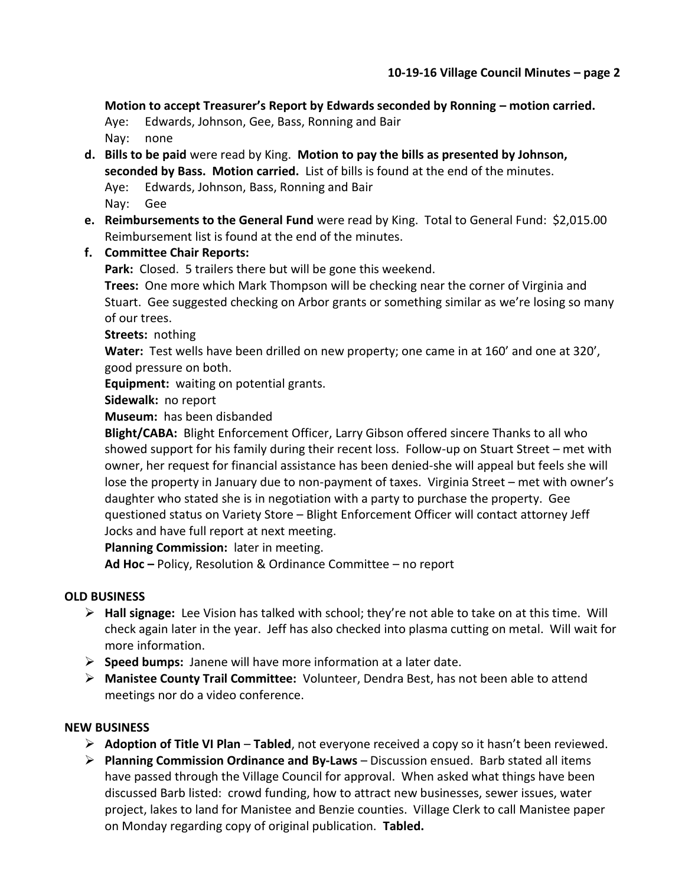**Motion to accept Treasurer's Report by Edwards seconded by Ronning – motion carried.**

Aye: Edwards, Johnson, Gee, Bass, Ronning and Bair Nay: none

- **d. Bills to be paid** were read by King. **Motion to pay the bills as presented by Johnson, seconded by Bass. Motion carried.** List of bills is found at the end of the minutes. Aye: Edwards, Johnson, Bass, Ronning and Bair Nay: Gee
- **e. Reimbursements to the General Fund** were read by King. Total to General Fund: \$2,015.00 Reimbursement list is found at the end of the minutes.

## **f. Committee Chair Reports:**

**Park:** Closed. 5 trailers there but will be gone this weekend.

**Trees:** One more which Mark Thompson will be checking near the corner of Virginia and Stuart. Gee suggested checking on Arbor grants or something similar as we're losing so many of our trees.

**Streets:** nothing

**Water:** Test wells have been drilled on new property; one came in at 160' and one at 320', good pressure on both.

**Equipment:** waiting on potential grants.

**Sidewalk:** no report

**Museum:** has been disbanded

**Blight/CABA:** Blight Enforcement Officer, Larry Gibson offered sincere Thanks to all who showed support for his family during their recent loss. Follow-up on Stuart Street – met with owner, her request for financial assistance has been denied-she will appeal but feels she will lose the property in January due to non-payment of taxes. Virginia Street – met with owner's daughter who stated she is in negotiation with a party to purchase the property. Gee questioned status on Variety Store – Blight Enforcement Officer will contact attorney Jeff Jocks and have full report at next meeting.

**Planning Commission:** later in meeting.

**Ad Hoc –** Policy, Resolution & Ordinance Committee – no report

## **OLD BUSINESS**

- **Hall signage:** Lee Vision has talked with school; they're not able to take on at this time. Will check again later in the year. Jeff has also checked into plasma cutting on metal. Will wait for more information.
- **Speed bumps:** Janene will have more information at a later date.
- **Manistee County Trail Committee:** Volunteer, Dendra Best, has not been able to attend meetings nor do a video conference.

#### **NEW BUSINESS**

- **Adoption of Title VI Plan Tabled**, not everyone received a copy so it hasn't been reviewed.
- **Planning Commission Ordinance and By-Laws** Discussion ensued. Barb stated all items have passed through the Village Council for approval. When asked what things have been discussed Barb listed: crowd funding, how to attract new businesses, sewer issues, water project, lakes to land for Manistee and Benzie counties. Village Clerk to call Manistee paper on Monday regarding copy of original publication. **Tabled.**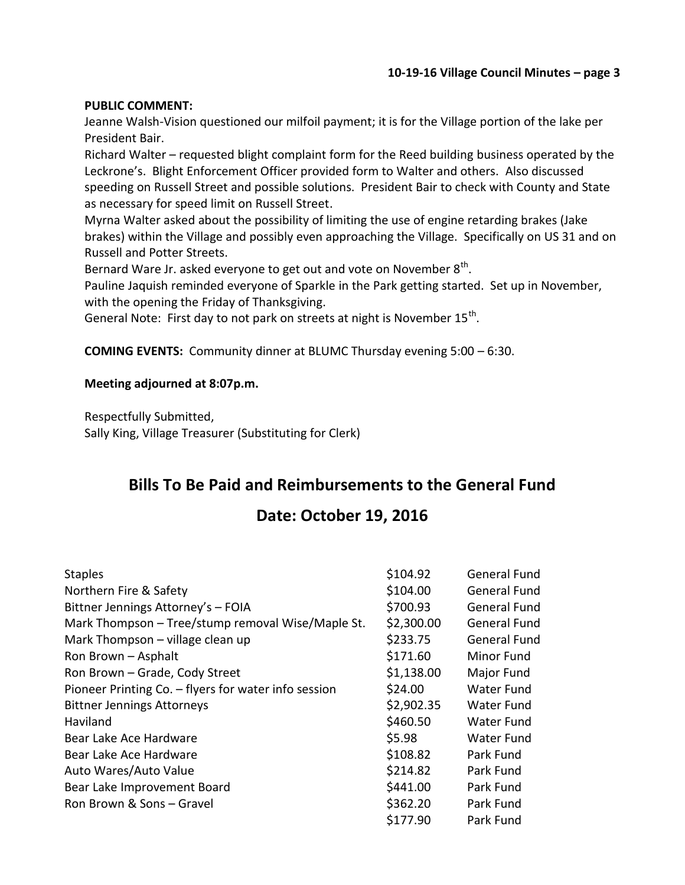#### **PUBLIC COMMENT:**

Jeanne Walsh-Vision questioned our milfoil payment; it is for the Village portion of the lake per President Bair.

Richard Walter – requested blight complaint form for the Reed building business operated by the Leckrone's. Blight Enforcement Officer provided form to Walter and others. Also discussed speeding on Russell Street and possible solutions. President Bair to check with County and State as necessary for speed limit on Russell Street.

Myrna Walter asked about the possibility of limiting the use of engine retarding brakes (Jake brakes) within the Village and possibly even approaching the Village. Specifically on US 31 and on Russell and Potter Streets.

Bernard Ware Jr. asked everyone to get out and vote on November 8<sup>th</sup>.

Pauline Jaquish reminded everyone of Sparkle in the Park getting started. Set up in November, with the opening the Friday of Thanksgiving.

General Note: First day to not park on streets at night is November 15<sup>th</sup>.

**COMING EVENTS:** Community dinner at BLUMC Thursday evening 5:00 – 6:30.

## **Meeting adjourned at 8:07p.m.**

Respectfully Submitted, Sally King, Village Treasurer (Substituting for Clerk)

# **Bills To Be Paid and Reimbursements to the General Fund**

# **Date: October 19, 2016**

| <b>Staples</b>                                       | \$104.92   | General Fund |
|------------------------------------------------------|------------|--------------|
| Northern Fire & Safety                               | \$104.00   | General Fund |
| Bittner Jennings Attorney's - FOIA                   | \$700.93   | General Fund |
| Mark Thompson - Tree/stump removal Wise/Maple St.    | \$2,300.00 | General Fund |
| Mark Thompson - village clean up                     | \$233.75   | General Fund |
| Ron Brown - Asphalt                                  | \$171.60   | Minor Fund   |
| Ron Brown - Grade, Cody Street                       | \$1,138.00 | Major Fund   |
| Pioneer Printing Co. - flyers for water info session | \$24.00    | Water Fund   |
| <b>Bittner Jennings Attorneys</b>                    | \$2,902.35 | Water Fund   |
| Haviland                                             | \$460.50   | Water Fund   |
| Bear Lake Ace Hardware                               | \$5.98     | Water Fund   |
| Bear Lake Ace Hardware                               | \$108.82   | Park Fund    |
| Auto Wares/Auto Value                                | \$214.82   | Park Fund    |
| Bear Lake Improvement Board                          | \$441.00   | Park Fund    |
| Ron Brown & Sons – Gravel                            | \$362.20   | Park Fund    |
|                                                      | \$177.90   | Park Fund    |